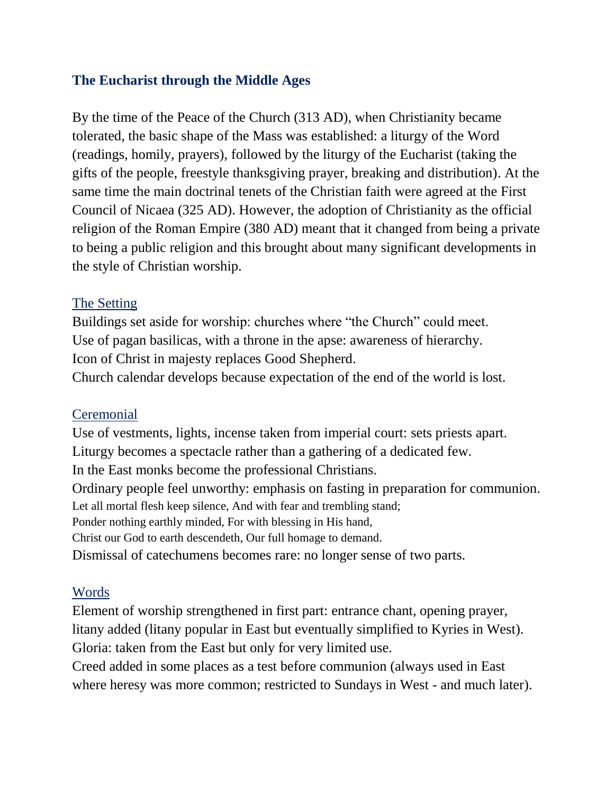## **The Eucharist through the Middle Ages**

By the time of the Peace of the Church (313 AD), when Christianity became tolerated, the basic shape of the Mass was established: a liturgy of the Word (readings, homily, prayers), followed by the liturgy of the Eucharist (taking the gifts of the people, freestyle thanksgiving prayer, breaking and distribution). At the same time the main doctrinal tenets of the Christian faith were agreed at the First Council of Nicaea (325 AD). However, the adoption of Christianity as the official religion of the Roman Empire (380 AD) meant that it changed from being a private to being a public religion and this brought about many significant developments in the style of Christian worship.

## The Setting

Buildings set aside for worship: churches where "the Church" could meet. Use of pagan basilicas, with a throne in the apse: awareness of hierarchy. Icon of Christ in majesty replaces Good Shepherd.

Church calendar develops because expectation of the end of the world is lost.

## **Ceremonial**

Use of vestments, lights, incense taken from imperial court: sets priests apart. Liturgy becomes a spectacle rather than a gathering of a dedicated few. In the East monks become the professional Christians. Ordinary people feel unworthy: emphasis on fasting in preparation for communion. Let all mortal flesh keep silence, And with fear and trembling stand; Ponder nothing earthly minded, For with blessing in His hand, Christ our God to earth descendeth, Our full homage to demand. Dismissal of catechumens becomes rare: no longer sense of two parts.

## Words

Element of worship strengthened in first part: entrance chant, opening prayer, litany added (litany popular in East but eventually simplified to Kyries in West). Gloria: taken from the East but only for very limited use.

Creed added in some places as a test before communion (always used in East where heresy was more common; restricted to Sundays in West - and much later).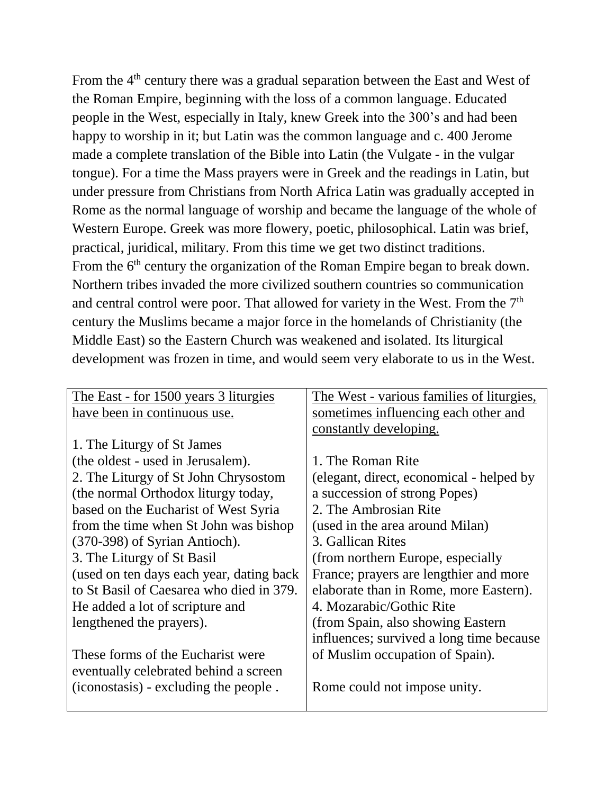From the 4<sup>th</sup> century there was a gradual separation between the East and West of the Roman Empire, beginning with the loss of a common language. Educated people in the West, especially in Italy, knew Greek into the 300's and had been happy to worship in it; but Latin was the common language and c. 400 Jerome made a complete translation of the Bible into Latin (the Vulgate - in the vulgar tongue). For a time the Mass prayers were in Greek and the readings in Latin, but under pressure from Christians from North Africa Latin was gradually accepted in Rome as the normal language of worship and became the language of the whole of Western Europe. Greek was more flowery, poetic, philosophical. Latin was brief, practical, juridical, military. From this time we get two distinct traditions. From the 6<sup>th</sup> century the organization of the Roman Empire began to break down. Northern tribes invaded the more civilized southern countries so communication and central control were poor. That allowed for variety in the West. From the 7<sup>th</sup> century the Muslims became a major force in the homelands of Christianity (the Middle East) so the Eastern Church was weakened and isolated. Its liturgical development was frozen in time, and would seem very elaborate to us in the West.

| The East - for 1500 years 3 liturgies    | The West - various families of liturgies, |
|------------------------------------------|-------------------------------------------|
| have been in continuous use.             | sometimes influencing each other and      |
|                                          | constantly developing.                    |
| 1. The Liturgy of St James               |                                           |
| (the oldest - used in Jerusalem).        | 1. The Roman Rite                         |
| 2. The Liturgy of St John Chrysostom     | (elegant, direct, economical - helped by  |
| (the normal Orthodox liturgy today,      | a succession of strong Popes)             |
| based on the Eucharist of West Syria     | 2. The Ambrosian Rite                     |
| from the time when St John was bishop    | (used in the area around Milan)           |
| (370-398) of Syrian Antioch).            | 3. Gallican Rites                         |
| 3. The Liturgy of St Basil               | (from northern Europe, especially         |
| (used on ten days each year, dating back | France; prayers are lengthier and more    |
| to St Basil of Caesarea who died in 379. | elaborate than in Rome, more Eastern).    |
| He added a lot of scripture and          | 4. Mozarabic/Gothic Rite                  |
| lengthened the prayers).                 | (from Spain, also showing Eastern)        |
|                                          | influences; survived a long time because  |
| These forms of the Eucharist were        | of Muslim occupation of Spain).           |
| eventually celebrated behind a screen    |                                           |
| (iconostasis) - excluding the people.    | Rome could not impose unity.              |
|                                          |                                           |